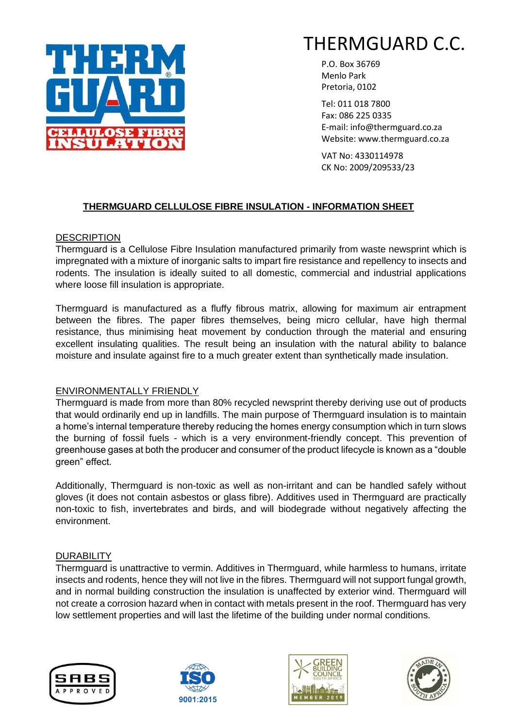

P.O. Box 36769 Menlo Park Pretoria, 0102

Tel: 011 018 7800 Fax: 086 225 0335 E-mail: info@thermguard.co.za Website: www.thermguard.co.za

VAT No: 4330114978 CK No: 2009/209533/23

# **THERMGUARD CELLULOSE FIBRE INSULATION - INFORMATION SHEET**

# **DESCRIPTION**

Thermguard is a Cellulose Fibre Insulation manufactured primarily from waste newsprint which is impregnated with a mixture of inorganic salts to impart fire resistance and repellency to insects and rodents. The insulation is ideally suited to all domestic, commercial and industrial applications where loose fill insulation is appropriate.

Thermguard is manufactured as a fluffy fibrous matrix, allowing for maximum air entrapment between the fibres. The paper fibres themselves, being micro cellular, have high thermal resistance, thus minimising heat movement by conduction through the material and ensuring excellent insulating qualities. The result being an insulation with the natural ability to balance moisture and insulate against fire to a much greater extent than synthetically made insulation.

# ENVIRONMENTALLY FRIENDLY

Thermguard is made from more than 80% recycled newsprint thereby deriving use out of products that would ordinarily end up in landfills. The main purpose of Thermguard insulation is to maintain a home's internal temperature thereby reducing the homes energy consumption which in turn slows the burning of fossil fuels - which is a very environment-friendly concept. This prevention of greenhouse gases at both the producer and consumer of the product lifecycle is known as a "double green" effect.

Additionally, Thermguard is non-toxic as well as non-irritant and can be handled safely without gloves (it does not contain asbestos or glass fibre). Additives used in Thermguard are practically non-toxic to fish, invertebrates and birds, and will biodegrade without negatively affecting the environment.

# **DURABILITY**

Thermguard is unattractive to vermin. Additives in Thermguard, while harmless to humans, irritate insects and rodents, hence they will not live in the fibres. Thermguard will not support fungal growth, and in normal building construction the insulation is unaffected by exterior wind. Thermguard will not create a corrosion hazard when in contact with metals present in the roof. Thermguard has very low settlement properties and will last the lifetime of the building under normal conditions.